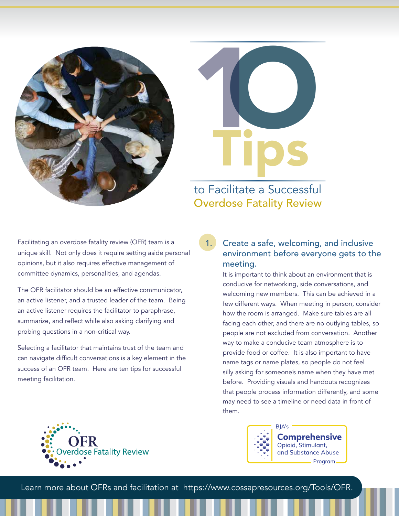



## to Facilitate a Successful Overdose Fatality Review

Facilitating an overdose fatality review (OFR) team is a unique skill. Not only does it require setting aside personal opinions, but it also requires effective management of committee dynamics, personalities, and agendas.

The OFR facilitator should be an effective communicator, an active listener, and a trusted leader of the team. Being an active listener requires the facilitator to paraphrase, summarize, and reflect while also asking clarifying and probing questions in a non-critical way.

Selecting a facilitator that maintains trust of the team and can navigate difficult conversations is a key element in the success of an OFR team. Here are ten tips for successful meeting facilitation.

#### 1. Create a safe, welcoming, and inclusive environment before everyone gets to the meeting.

It is important to think about an environment that is conducive for networking, side conversations, and welcoming new members. This can be achieved in a few different ways. When meeting in person, consider how the room is arranged. Make sure tables are all facing each other, and there are no outlying tables, so people are not excluded from conversation. Another way to make a conducive team atmosphere is to provide food or coffee. It is also important to have name tags or name plates, so people do not feel silly asking for someone's name when they have met before. Providing visuals and handouts recognizes that people process information differently, and some may need to see a timeline or need data in front of them.





**Comprehensive** Opioid, Stimulant, and Substance Abuse - Program -

Learn more about OFRs and facilitation at <https://www.cossapresources.org/Tools/OFR>.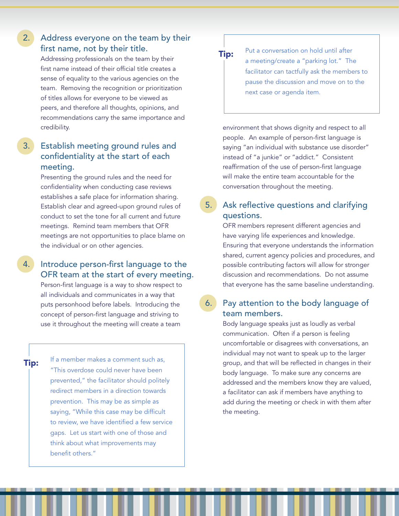#### 2. Address everyone on the team by their first name, not by their title.

Addressing professionals on the team by their first name instead of their official title creates a sense of equality to the various agencies on the team. Removing the recognition or prioritization of titles allows for everyone to be viewed as peers, and therefore all thoughts, opinions, and recommendations carry the same importance and credibility.

#### 3. Establish meeting ground rules and confidentiality at the start of each meeting.

Presenting the ground rules and the need for confidentiality when conducting case reviews establishes a safe place for information sharing. Establish clear and agreed-upon ground rules of conduct to set the tone for all current and future meetings. Remind team members that OFR meetings are not opportunities to place blame on the individual or on other agencies.

#### 4. Introduce person-first language to the OFR team at the start of every meeting.

Person-first language is a way to show respect to all individuals and communicates in a way that puts personhood before labels. Introducing the concept of person-first language and striving to use it throughout the meeting will create a team

Tip:

If a member makes a comment such as, "This overdose could never have been prevented," the facilitator should politely redirect members in a direction towards prevention. This may be as simple as saying, "While this case may be difficult to review, we have identified a few service gaps. Let us start with one of those and think about what improvements may benefit others."



Put a conversation on hold until after a meeting/create a "parking lot." The facilitator can tactfully ask the members to pause the discussion and move on to the next case or agenda item.

environment that shows dignity and respect to all people. An example of person-first language is saying "an individual with substance use disorder" instead of "a junkie" or "addict." Consistent reaffirmation of the use of person-first language will make the entire team accountable for the conversation throughout the meeting.

## 5. Ask reflective questions and clarifying questions.

OFR members represent different agencies and have varying life experiences and knowledge. Ensuring that everyone understands the information shared, current agency policies and procedures, and possible contributing factors will allow for stronger discussion and recommendations. Do not assume that everyone has the same baseline understanding.

#### 6. Pay attention to the body language of team members.

Body language speaks just as loudly as verbal communication. Often if a person is feeling uncomfortable or disagrees with conversations, an individual may not want to speak up to the larger group, and that will be reflected in changes in their body language. To make sure any concerns are addressed and the members know they are valued, a facilitator can ask if members have anything to add during the meeting or check in with them after the meeting.